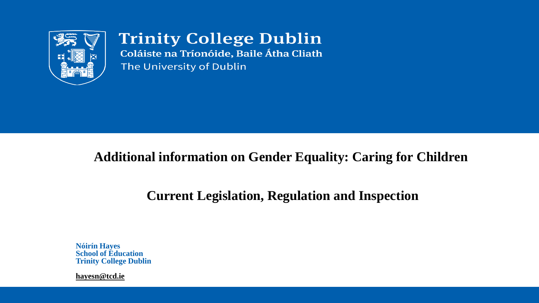

**Trinity College Dublin** Coláiste na Tríonóide, Baile Átha Cliath The University of Dublin

#### **Additional information on Gender Equality: Caring for Children**

### **Current Legislation, Regulation and Inspection**

**Nóirín Hayes School of Education Trinity College Dublin**

**[hayesn@tcd.ie](mailto:noirin.hayes@tcd.ie)**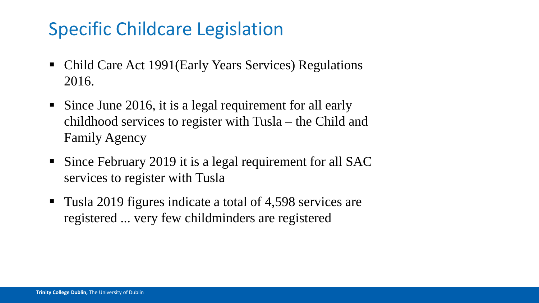# Specific Childcare Legislation

- Child Care Act 1991(Early Years Services) Regulations 2016.
- Since June 2016, it is a legal requirement for all early childhood services to register with Tusla – the Child and Family Agency
- Since February 2019 it is a legal requirement for all SAC services to register with Tusla
- Tusla 2019 figures indicate a total of 4,598 services are registered ... very few childminders are registered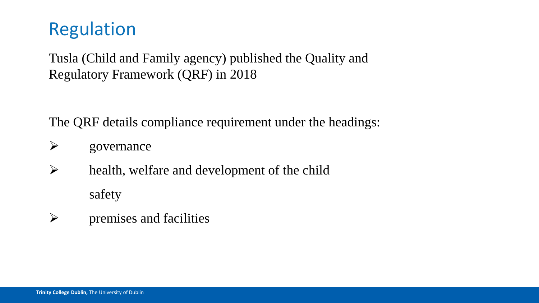## Regulation

Tusla (Child and Family agency) published the Quality and Regulatory Framework (QRF) in 2018

The QRF details compliance requirement under the headings:

- $\triangleright$  governance
- $\triangleright$  health, welfare and development of the child safety
- $\triangleright$  premises and facilities